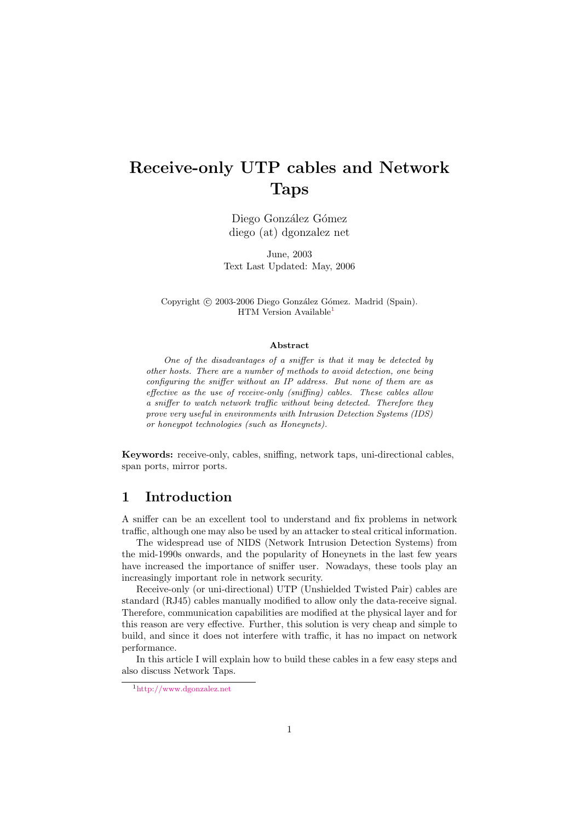# Receive-only UTP cables and Network Taps

Diego González Gómez diego (at) dgonzalez net

June, 2003 Text Last Updated: May, 2006

Copyright © 2003-2006 Diego González Gómez. Madrid (Spain). HTM Version Available<sup>[1](#page-0-0)</sup>

#### Abstract

One of the disadvantages of a sniffer is that it may be detected by other hosts. There are a number of methods to avoid detection, one being configuring the sniffer without an IP address. But none of them are as effective as the use of receive-only (sniffing) cables. These cables allow a sniffer to watch network traffic without being detected. Therefore they prove very useful in environments with Intrusion Detection Systems (IDS) or honeypot technologies (such as Honeynets).

Keywords: receive-only, cables, sniffing, network taps, uni-directional cables, span ports, mirror ports.

# 1 Introduction

A sniffer can be an excellent tool to understand and fix problems in network traffic, although one may also be used by an attacker to steal critical information.

The widespread use of NIDS (Network Intrusion Detection Systems) from the mid-1990s onwards, and the popularity of Honeynets in the last few years have increased the importance of sniffer user. Nowadays, these tools play an increasingly important role in network security.

Receive-only (or uni-directional) UTP (Unshielded Twisted Pair) cables are standard (RJ45) cables manually modified to allow only the data-receive signal. Therefore, communication capabilities are modified at the physical layer and for this reason are very effective. Further, this solution is very cheap and simple to build, and since it does not interfere with traffic, it has no impact on network performance.

In this article I will explain how to build these cables in a few easy steps and also discuss Network Taps.

<span id="page-0-0"></span><sup>1</sup><http://www.dgonzalez.net>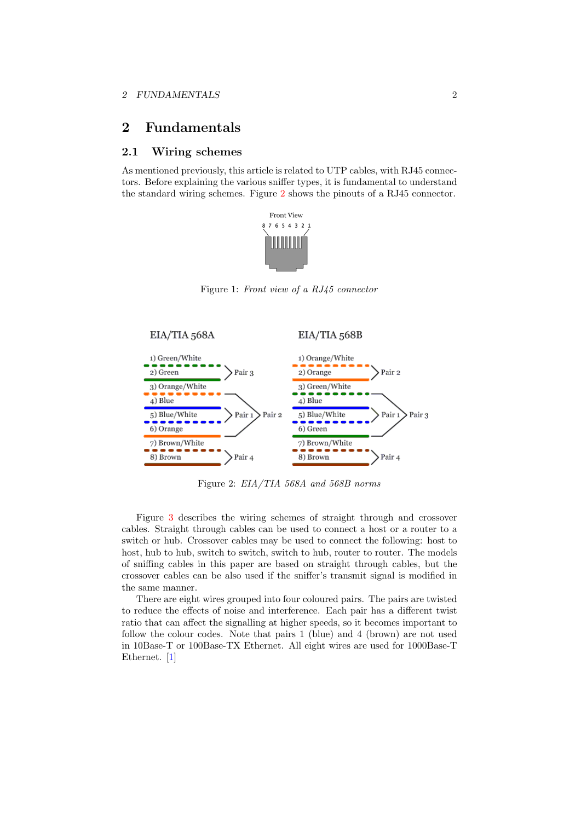# 2 Fundamentals

# 2.1 Wiring schemes

As mentioned previously, this article is related to UTP cables, with RJ45 connectors. Before explaining the various sniffer types, it is fundamental to understand the standard wiring schemes. Figure [2](#page-1-0) shows the pinouts of a RJ45 connector.



Figure 1: Front view of a RJ45 connector



<span id="page-1-0"></span>Figure 2: EIA/TIA 568A and 568B norms

Figure [3](#page-2-0) describes the wiring schemes of straight through and crossover cables. Straight through cables can be used to connect a host or a router to a switch or hub. Crossover cables may be used to connect the following: host to host, hub to hub, switch to switch, switch to hub, router to router. The models of sniffing cables in this paper are based on straight through cables, but the crossover cables can be also used if the sniffer's transmit signal is modified in the same manner.

There are eight wires grouped into four coloured pairs. The pairs are twisted to reduce the effects of noise and interference. Each pair has a different twist ratio that can affect the signalling at higher speeds, so it becomes important to follow the colour codes. Note that pairs 1 (blue) and 4 (brown) are not used in 10Base-T or 100Base-TX Ethernet. All eight wires are used for 1000Base-T Ethernet. [\[1\]](#page-12-0)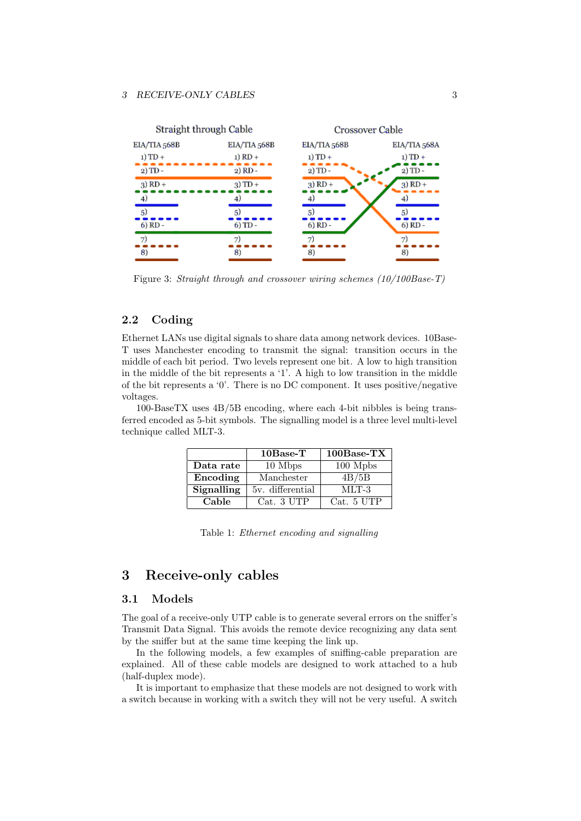

<span id="page-2-0"></span>Figure 3: Straight through and crossover wiring schemes (10/100Base-T)

# 2.2 Coding

Ethernet LANs use digital signals to share data among network devices. 10Base-T uses Manchester encoding to transmit the signal: transition occurs in the middle of each bit period. Two levels represent one bit. A low to high transition in the middle of the bit represents a '1'. A high to low transition in the middle of the bit represents a '0'. There is no DC component. It uses positive/negative voltages.

100-BaseTX uses 4B/5B encoding, where each 4-bit nibbles is being transferred encoded as 5-bit symbols. The signalling model is a three level multi-level technique called MLT-3.

|            | $10Base-T$       | $100Base-TX$ |
|------------|------------------|--------------|
| Data rate  | 10 Mbps          | $100$ Mpbs   |
| Encoding   | Manchester       | 4B/5B        |
| Signalling | 5v. differential | $MLT-3$      |
| Cable      | Cat. 3 UTP       | Cat. 5 UTP   |

Table 1: Ethernet encoding and signalling

# 3 Receive-only cables

### 3.1 Models

The goal of a receive-only UTP cable is to generate several errors on the sniffer's Transmit Data Signal. This avoids the remote device recognizing any data sent by the sniffer but at the same time keeping the link up.

In the following models, a few examples of sniffing-cable preparation are explained. All of these cable models are designed to work attached to a hub (half-duplex mode).

It is important to emphasize that these models are not designed to work with a switch because in working with a switch they will not be very useful. A switch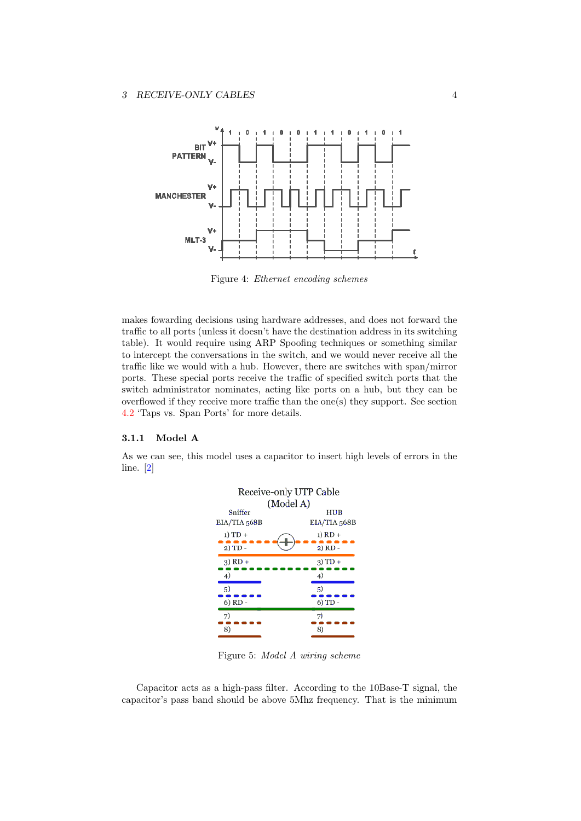

Figure 4: Ethernet encoding schemes

makes fowarding decisions using hardware addresses, and does not forward the traffic to all ports (unless it doesn't have the destination address in its switching table). It would require using ARP Spoofing techniques or something similar to intercept the conversations in the switch, and we would never receive all the traffic like we would with a hub. However, there are switches with span/mirror ports. These special ports receive the traffic of specified switch ports that the switch administrator nominates, acting like ports on a hub, but they can be overflowed if they receive more traffic than the one(s) they support. See section [4.2](#page-9-0) 'Taps vs. Span Ports' for more details.

#### 3.1.1 Model A

As we can see, this model uses a capacitor to insert high levels of errors in the line. [\[2\]](#page-12-1)



Figure 5: Model A wiring scheme

Capacitor acts as a high-pass filter. According to the 10Base-T signal, the capacitor's pass band should be above 5Mhz frequency. That is the minimum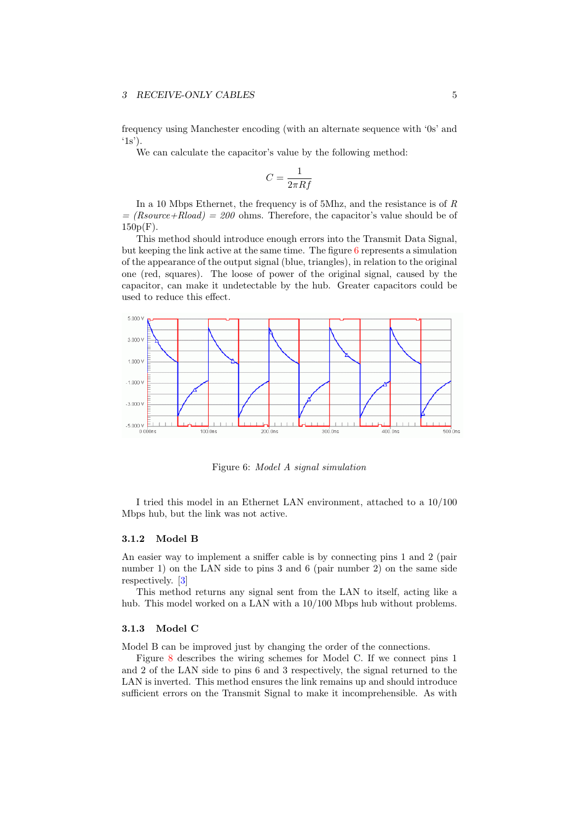frequency using Manchester encoding (with an alternate sequence with '0s' and  $(1s)$ .

We can calculate the capacitor's value by the following method:

$$
C=\frac{1}{2\pi Rf}
$$

In a 10 Mbps Ethernet, the frequency is of 5Mhz, and the resistance is of  $R$  $= (Rsource+Rload) = 200$  ohms. Therefore, the capacitor's value should be of  $150p(F)$ .

This method should introduce enough errors into the Transmit Data Signal, but keeping the link active at the same time. The figure  $6$  represents a simulation of the appearance of the output signal (blue, triangles), in relation to the original one (red, squares). The loose of power of the original signal, caused by the capacitor, can make it undetectable by the hub. Greater capacitors could be used to reduce this effect.



<span id="page-4-0"></span>Figure 6: Model A signal simulation

I tried this model in an Ethernet LAN environment, attached to a 10/100 Mbps hub, but the link was not active.

### 3.1.2 Model B

An easier way to implement a sniffer cable is by connecting pins 1 and 2 (pair number 1) on the LAN side to pins 3 and 6 (pair number 2) on the same side respectively. [\[3\]](#page-12-2)

This method returns any signal sent from the LAN to itself, acting like a hub. This model worked on a LAN with a 10/100 Mbps hub without problems.

#### 3.1.3 Model C

Model B can be improved just by changing the order of the connections.

Figure [8](#page-5-0) describes the wiring schemes for Model C. If we connect pins 1 and 2 of the LAN side to pins 6 and 3 respectively, the signal returned to the LAN is inverted. This method ensures the link remains up and should introduce sufficient errors on the Transmit Signal to make it incomprehensible. As with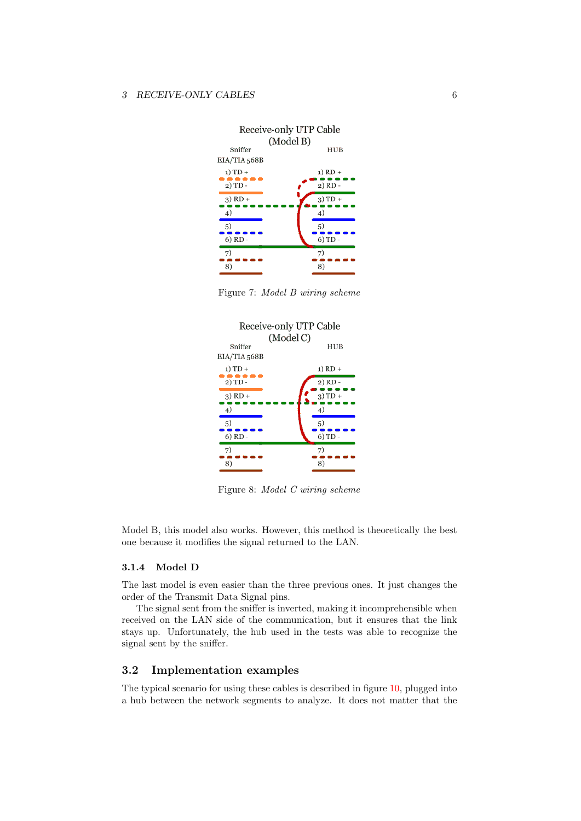

Figure 7: Model B wiring scheme



<span id="page-5-0"></span>Figure 8: Model C wiring scheme

Model B, this model also works. However, this method is theoretically the best one because it modifies the signal returned to the LAN.

#### 3.1.4 Model D

The last model is even easier than the three previous ones. It just changes the order of the Transmit Data Signal pins.

The signal sent from the sniffer is inverted, making it incomprehensible when received on the LAN side of the communication, but it ensures that the link stays up. Unfortunately, the hub used in the tests was able to recognize the signal sent by the sniffer.

### 3.2 Implementation examples

The typical scenario for using these cables is described in figure [10,](#page-6-0) plugged into a hub between the network segments to analyze. It does not matter that the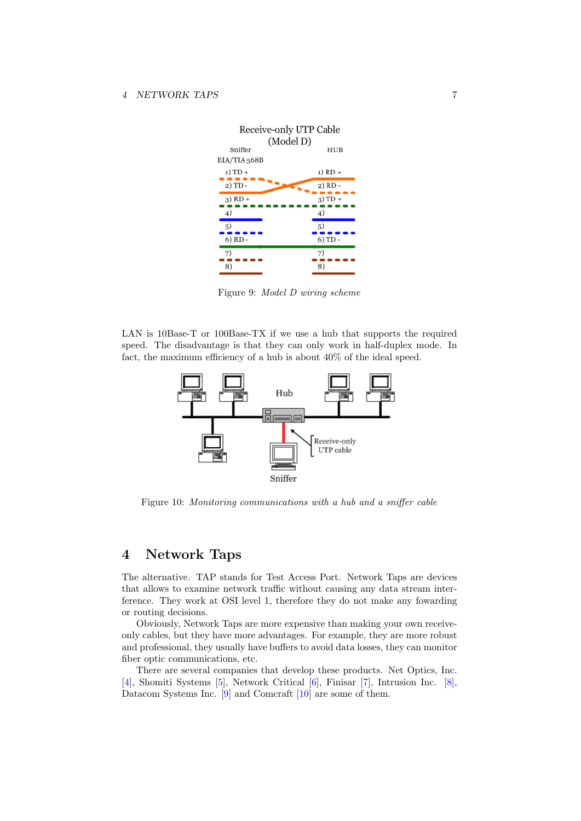

Figure 9: Model D wiring scheme

LAN is 10Base-T or 100Base-TX if we use a hub that supports the required speed. The disadvantage is that they can only work in half-duplex mode. In fact, the maximum efficiency of a hub is about 40% of the ideal speed.



<span id="page-6-0"></span>Figure 10: Monitoring communications with a hub and a sniffer cable

# 4 Network Taps

The alternative. TAP stands for Test Access Port. Network Taps are devices that allows to examine network traffic without causing any data stream interference. They work at OSI level 1, therefore they do not make any fowarding or routing decisions.

Obviously, Network Taps are more expensive than making your own receiveonly cables, but they have more advantages. For example, they are more robust and professional, they usually have buffers to avoid data losses, they can monitor fiber optic communications, etc.

There are several companies that develop these products. Net Optics, Inc. [\[4\]](#page-12-3), Shomiti Systems [\[5\]](#page-12-4), Network Critical [\[6\]](#page-13-0), Finisar [\[7\]](#page-13-1), Intrusion Inc. [\[8\]](#page-13-2), Datacom Systems Inc. [\[9\]](#page-13-3) and Comcraft [\[10\]](#page-13-4) are some of them.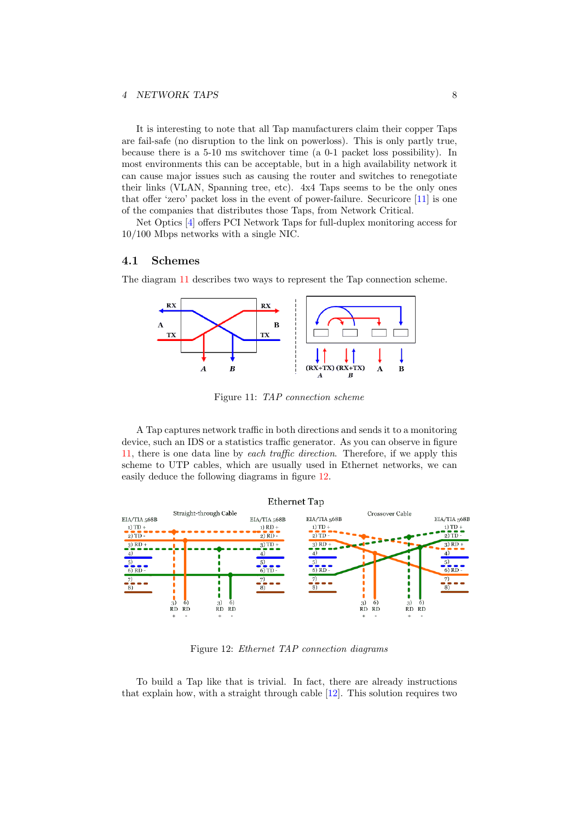#### 4 NETWORK TAPS 8

It is interesting to note that all Tap manufacturers claim their copper Taps are fail-safe (no disruption to the link on powerloss). This is only partly true, because there is a 5-10 ms switchover time (a 0-1 packet loss possibility). In most environments this can be acceptable, but in a high availability network it can cause major issues such as causing the router and switches to renegotiate their links (VLAN, Spanning tree, etc). 4x4 Taps seems to be the only ones that offer 'zero' packet loss in the event of power-failure. Securicore [\[11\]](#page-13-5) is one of the companies that distributes those Taps, from Network Critical.

Net Optics [\[4\]](#page-12-3) offers PCI Network Taps for full-duplex monitoring access for 10/100 Mbps networks with a single NIC.

### 4.1 Schemes

The diagram [11](#page-7-0) describes two ways to represent the Tap connection scheme.



<span id="page-7-0"></span>Figure 11: TAP connection scheme

A Tap captures network traffic in both directions and sends it to a monitoring device, such an IDS or a statistics traffic generator. As you can observe in figure [11,](#page-7-0) there is one data line by each traffic direction. Therefore, if we apply this scheme to UTP cables, which are usually used in Ethernet networks, we can easily deduce the following diagrams in figure [12.](#page-7-1)



<span id="page-7-1"></span>Figure 12: Ethernet TAP connection diagrams

To build a Tap like that is trivial. In fact, there are already instructions that explain how, with a straight through cable [\[12\]](#page-13-6). This solution requires two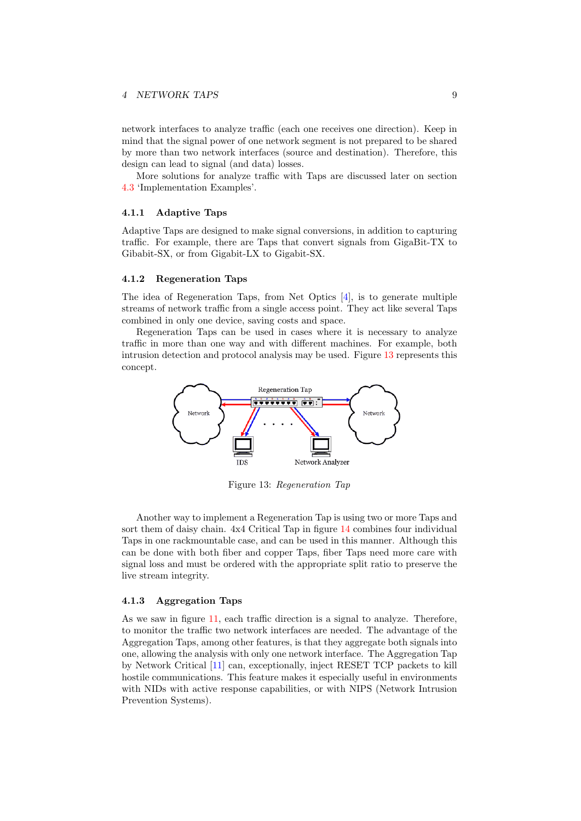network interfaces to analyze traffic (each one receives one direction). Keep in mind that the signal power of one network segment is not prepared to be shared by more than two network interfaces (source and destination). Therefore, this design can lead to signal (and data) losses.

More solutions for analyze traffic with Taps are discussed later on section [4.3](#page-10-0) 'Implementation Examples'.

#### 4.1.1 Adaptive Taps

Adaptive Taps are designed to make signal conversions, in addition to capturing traffic. For example, there are Taps that convert signals from GigaBit-TX to Gibabit-SX, or from Gigabit-LX to Gigabit-SX.

#### 4.1.2 Regeneration Taps

The idea of Regeneration Taps, from Net Optics [\[4\]](#page-12-3), is to generate multiple streams of network traffic from a single access point. They act like several Taps combined in only one device, saving costs and space.

Regeneration Taps can be used in cases where it is necessary to analyze traffic in more than one way and with different machines. For example, both intrusion detection and protocol analysis may be used. Figure [13](#page-8-0) represents this concept.



<span id="page-8-0"></span>Figure 13: Regeneration Tap

Another way to implement a Regeneration Tap is using two or more Taps and sort them of daisy chain. 4x4 Critical Tap in figure [14](#page-9-1) combines four individual Taps in one rackmountable case, and can be used in this manner. Although this can be done with both fiber and copper Taps, fiber Taps need more care with signal loss and must be ordered with the appropriate split ratio to preserve the live stream integrity.

#### 4.1.3 Aggregation Taps

As we saw in figure [11,](#page-7-0) each traffic direction is a signal to analyze. Therefore, to monitor the traffic two network interfaces are needed. The advantage of the Aggregation Taps, among other features, is that they aggregate both signals into one, allowing the analysis with only one network interface. The Aggregation Tap by Network Critical [\[11\]](#page-13-5) can, exceptionally, inject RESET TCP packets to kill hostile communications. This feature makes it especially useful in environments with NIDs with active response capabilities, or with NIPS (Network Intrusion Prevention Systems).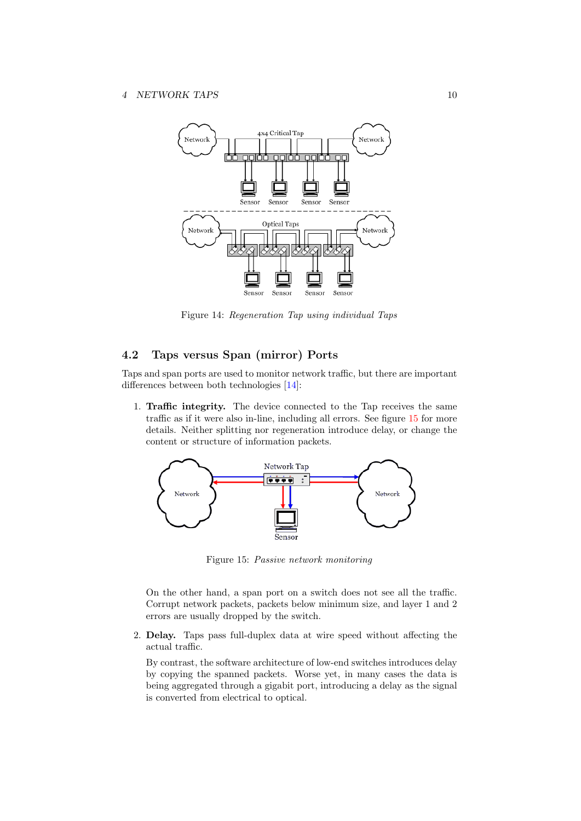#### 4 NETWORK TAPS 10



<span id="page-9-1"></span>Figure 14: Regeneration Tap using individual Taps

# <span id="page-9-0"></span>4.2 Taps versus Span (mirror) Ports

Taps and span ports are used to monitor network traffic, but there are important differences between both technologies [\[14\]](#page-13-7):

1. Traffic integrity. The device connected to the Tap receives the same traffic as if it were also in-line, including all errors. See figure [15](#page-9-2) for more details. Neither splitting nor regeneration introduce delay, or change the content or structure of information packets.



<span id="page-9-2"></span>Figure 15: Passive network monitoring

On the other hand, a span port on a switch does not see all the traffic. Corrupt network packets, packets below minimum size, and layer 1 and 2 errors are usually dropped by the switch.

2. Delay. Taps pass full-duplex data at wire speed without affecting the actual traffic.

By contrast, the software architecture of low-end switches introduces delay by copying the spanned packets. Worse yet, in many cases the data is being aggregated through a gigabit port, introducing a delay as the signal is converted from electrical to optical.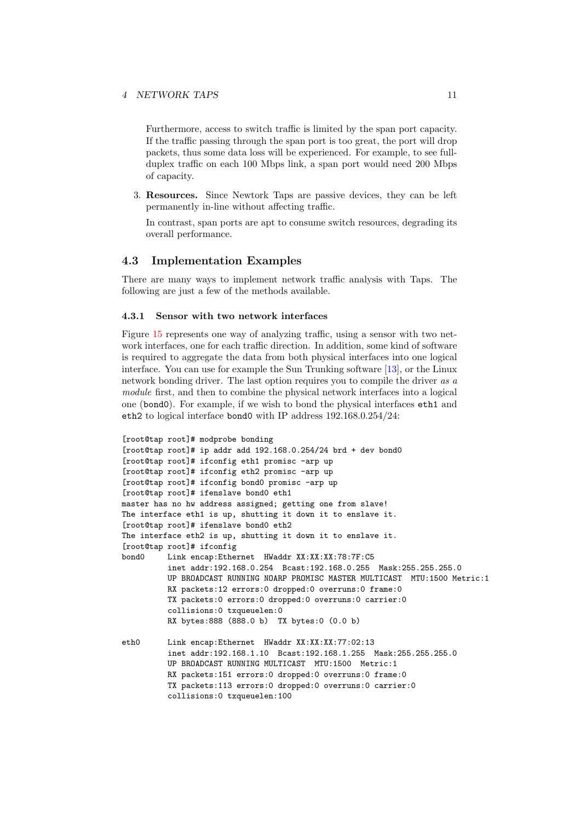Furthermore, access to switch traffic is limited by the span port capacity. If the traffic passing through the span port is too great, the port will drop packets, thus some data loss will be experienced. For example, to see fullduplex traffic on each 100 Mbps link, a span port would need 200 Mbps of capacity.

3. Resources. Since Newtork Taps are passive devices, they can be left permanently in-line without affecting traffic.

In contrast, span ports are apt to consume switch resources, degrading its overall performance.

# <span id="page-10-0"></span>4.3 Implementation Examples

There are many ways to implement network traffic analysis with Taps. The following are just a few of the methods available.

### 4.3.1 Sensor with two network interfaces

Figure [15](#page-9-2) represents one way of analyzing traffic, using a sensor with two network interfaces, one for each traffic direction. In addition, some kind of software is required to aggregate the data from both physical interfaces into one logical interface. You can use for example the Sun Trunking software [\[13\]](#page-13-8), or the Linux network bonding driver. The last option requires you to compile the driver as a module first, and then to combine the physical network interfaces into a logical one (bond0). For example, if we wish to bond the physical interfaces eth1 and eth2 to logical interface bond0 with IP address 192.168.0.254/24:

```
[root@tap root]# modprobe bonding
[root@tap root]# ip addr add 192.168.0.254/24 brd + dev bond0
[root@tap root]# ifconfig eth1 promisc -arp up
[root@tap root]# ifconfig eth2 promisc -arp up
[root@tap root]# ifconfig bond0 promisc -arp up
[root@tap root]# ifenslave bond0 eth1
master has no hw address assigned; getting one from slave!
The interface eth1 is up, shutting it down it to enslave it.
[root@tap root]# ifenslave bond0 eth2
The interface eth2 is up, shutting it down it to enslave it.
[root@tap root]# ifconfig
bond0 Link encap:Ethernet HWaddr XX:XX:XX:78:7F:C5
         inet addr:192.168.0.254 Bcast:192.168.0.255 Mask:255.255.255.0
         UP BROADCAST RUNNING NOARP PROMISC MASTER MULTICAST MTU:1500 Metric:1
         RX packets:12 errors:0 dropped:0 overruns:0 frame:0
         TX packets:0 errors:0 dropped:0 overruns:0 carrier:0
         collisions:0 txqueuelen:0
         RX bytes:888 (888.0 b) TX bytes:0 (0.0 b)
eth0 Link encap:Ethernet HWaddr XX:XX:XX:77:02:13
         inet addr:192.168.1.10 Bcast:192.168.1.255 Mask:255.255.255.0
         UP BROADCAST RUNNING MULTICAST MTU:1500 Metric:1
         RX packets:151 errors:0 dropped:0 overruns:0 frame:0
         TX packets:113 errors:0 dropped:0 overruns:0 carrier:0
         collisions:0 txqueuelen:100
```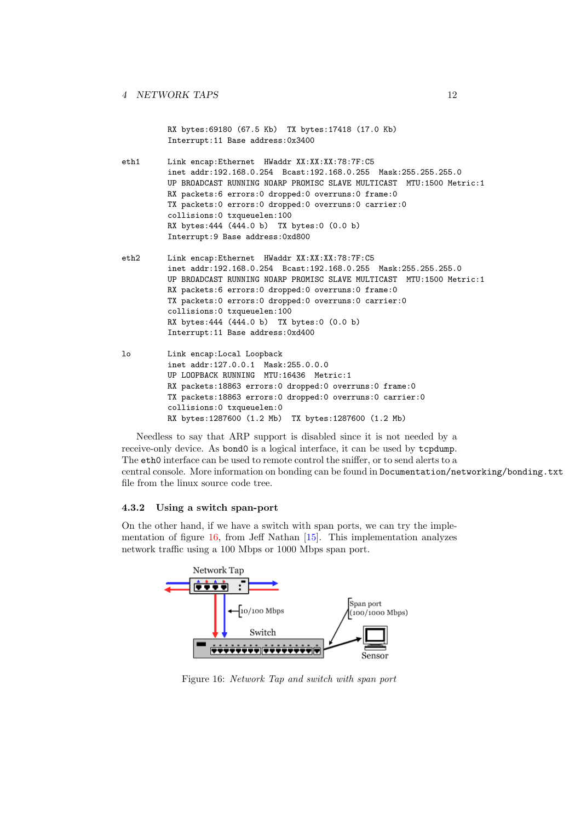RX bytes:69180 (67.5 Kb) TX bytes:17418 (17.0 Kb) Interrupt:11 Base address:0x3400

| eth1 | Link encap: Ethernet HWaddr XX: XX: XX: 78: 7F: C5                   |
|------|----------------------------------------------------------------------|
|      |                                                                      |
|      | UP BROADCAST RUNNING NOARP PROMISC SLAVE MULTICAST MTU:1500 Metric:1 |
|      | RX packets:6 errors:0 dropped:0 overruns:0 frame:0                   |
|      | TX packets: 0 errors: 0 dropped: 0 overruns: 0 carrier: 0            |
|      | collisions: 0 txqueuelen: 100                                        |
|      | RX bytes: 444 (444.0 b) TX bytes: 0 (0.0 b)                          |
|      | Interrupt: 9 Base address: 0xd800                                    |
|      |                                                                      |
| eth2 | Link encap: Ethernet HWaddr XX: XX: XX: 78: 7F: C5                   |
|      | inet addr:192.168.0.254 Bcast:192.168.0.255 Mask:255.255.255.0       |
|      | UP BROADCAST RUNNING NOARP PROMISC SLAVE MULTICAST MTU:1500 Metric:1 |
|      | RX packets:6 errors:0 dropped:0 overruns:0 frame:0                   |
|      | TX packets: 0 errors: 0 dropped: 0 overruns: 0 carrier: 0            |
|      | collisions: 0 txqueuelen: 100                                        |
|      | RX bytes: 444 (444.0 b) TX bytes: 0 (0.0 b)                          |
|      | Interrupt:11 Base address:0xd400                                     |
|      |                                                                      |
| lo   | Link encap:Local Loopback                                            |
|      | inet addr:127.0.0.1 Mask:255.0.0.0                                   |
|      | UP LOOPBACK RUNNING MTU:16436 Metric:1                               |
|      | RX packets: 18863 errors: 0 dropped: 0 overruns: 0 frame: 0          |
|      |                                                                      |
|      | TX packets: 18863 errors: 0 dropped: 0 overruns: 0 carrier: 0        |
|      | collisions: 0 txqueuelen: 0                                          |
|      | RX bytes: 1287600 (1.2 Mb) TX bytes: 1287600 (1.2 Mb)                |

Needless to say that ARP support is disabled since it is not needed by a receive-only device. As bond0 is a logical interface, it can be used by tcpdump. The eth0 interface can be used to remote control the sniffer, or to send alerts to a central console. More information on bonding can be found in Documentation/networking/bonding.txt file from the linux source code tree.

### 4.3.2 Using a switch span-port

On the other hand, if we have a switch with span ports, we can try the implementation of figure [16,](#page-11-0) from Jeff Nathan [\[15\]](#page-13-9). This implementation analyzes network traffic using a 100 Mbps or 1000 Mbps span port.



<span id="page-11-0"></span>Figure 16: Network Tap and switch with span port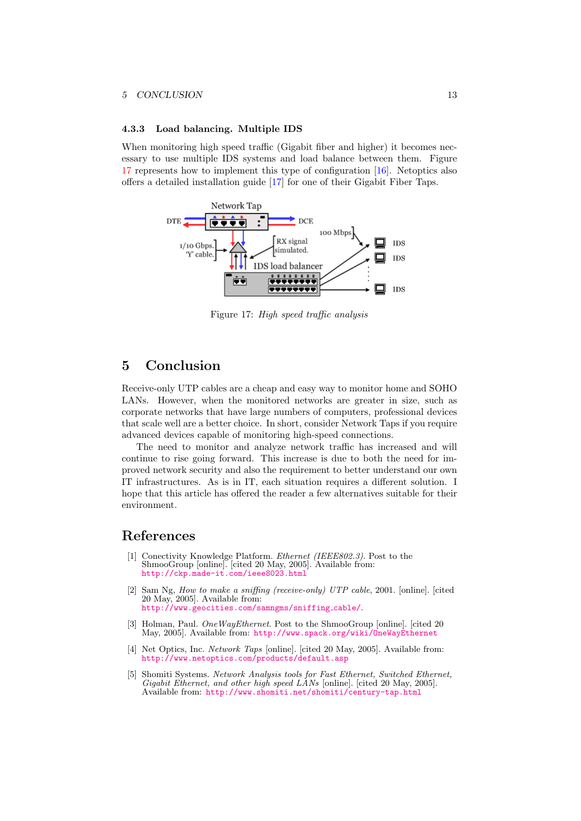#### 4.3.3 Load balancing. Multiple IDS

When monitoring high speed traffic (Gigabit fiber and higher) it becomes necessary to use multiple IDS systems and load balance between them. Figure [17](#page-12-5) represents how to implement this type of configuration [\[16\]](#page-13-10). Netoptics also offers a detailed installation guide [\[17\]](#page-13-11) for one of their Gigabit Fiber Taps.



<span id="page-12-5"></span>Figure 17: High speed traffic analysis

# 5 Conclusion

Receive-only UTP cables are a cheap and easy way to monitor home and SOHO LANs. However, when the monitored networks are greater in size, such as corporate networks that have large numbers of computers, professional devices that scale well are a better choice. In short, consider Network Taps if you require advanced devices capable of monitoring high-speed connections.

The need to monitor and analyze network traffic has increased and will continue to rise going forward. This increase is due to both the need for improved network security and also the requirement to better understand our own IT infrastructures. As is in IT, each situation requires a different solution. I hope that this article has offered the reader a few alternatives suitable for their environment.

# References

- <span id="page-12-0"></span>[1] Conectivity Knowledge Platform. Ethernet (IEEE802.3). Post to the ShmooGroup [online]. [cited 20 May, 2005]. Available from: <http://ckp.made-it.com/ieee8023.html>
- <span id="page-12-1"></span>[2] Sam Ng, How to make a sniffing (receive-only) UTP cable, 2001. [online]. [cited 20 May, 2005]. Available from: [http://www.geocities.com/samngms/sniffing](http://www.geocities.com/samngms/sniffing_cable/) cable/.
- <span id="page-12-2"></span>[3] Holman, Paul. One WayEthernet. Post to the ShmooGroup [online]. [cited 20 May, 2005]. Available from: <http://www.spack.org/wiki/OneWayEthernet>
- <span id="page-12-3"></span>[4] Net Optics, Inc. Network Taps [online]. [cited 20 May, 2005]. Available from: <http://www.netoptics.com/products/default.asp>
- <span id="page-12-4"></span>[5] Shomiti Systems. Network Analysis tools for Fast Ethernet, Switched Ethernet, Gigabit Ethernet, and other high speed LANs [online]. [cited 20 May, 2005]. Available from: <http://www.shomiti.net/shomiti/century-tap.html>